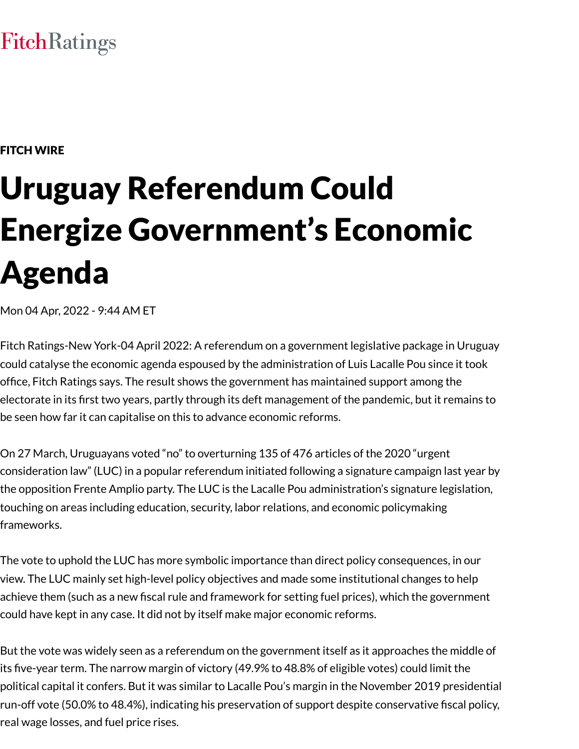## **FitchRatings**

## FITCH WIRE

## Uruguay Referendum Could Energize Government's Economic Agenda

Mon 04 Apr, 2022 - 9:44 AM ET

Fitch Ratings-New York-04 April 2022: A referendum on a government legislative package in Uruguay could catalyse the economic agenda espoused by the administration of Luis Lacalle Pou since it took office, Fitch Ratings says. The result shows the government has maintained support among the electorate in its first two years, partly through its deft management of the pandemic, but it remains to be seen how far it can capitalise on this to advance economic reforms.

On 27 March, Uruguayans voted "no" to overturning 135 of 476 articles of the 2020 "urgent consideration law" (LUC) in a popular referendum initiated following a signature campaign last year by the opposition Frente Amplio party. The LUC is the Lacalle Pou administration's signature legislation, touching on areas including education, security, labor relations, and economic policymaking frameworks.

The vote to uphold the LUC has more symbolic importance than direct policy consequences, in our view. The LUC mainly set high-level policy objectives and made some institutional changes to help achieve them (such as a new fiscal rule and framework for setting fuel prices), which the government could have kept in any case. It did not by itself make major economic reforms.

But the vote was widely seen as a referendum on the government itself as it approaches the middle of its five-year term. The narrow margin of victory (49.9% to 48.8% of eligible votes) could limit the political capital it confers. But it was similar to Lacalle Pou's margin in the November 2019 presidential run-off vote (50.0% to 48.4%), indicating his preservation of support despite conservative fiscal policy, real wage losses, and fuel price rises.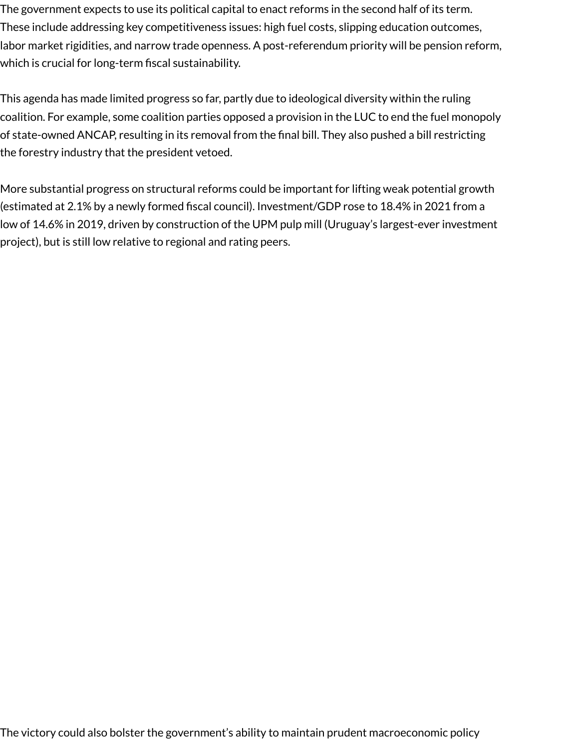The government expects to use its political capital to enact reforms in the second half of its term. These include addressing key competitiveness issues: high fuel costs, slipping education outcomes, labor market rigidities, and narrow trade openness. A post-referendum priority will be pension reform, which is crucial for long-term fiscal sustainability.

This agenda has made limited progress so far, partly due to ideological diversity within the ruling coalition. For example, some coalition parties opposed a provision in the LUC to end the fuel monopoly of state-owned ANCAP, resulting in its removal from the final bill. They also pushed a bill restricting the forestry industry that the president vetoed.

More substantial progress on structural reforms could be important for lifting weak potential growth (estimated at 2.1% by a newly formed fiscal council). Investment/GDP rose to 18.4% in 2021 from a low of 14.6% in 2019, driven by construction of the UPM pulp mill (Uruguay's largest-ever investment project), but is still low relative to regional and rating peers.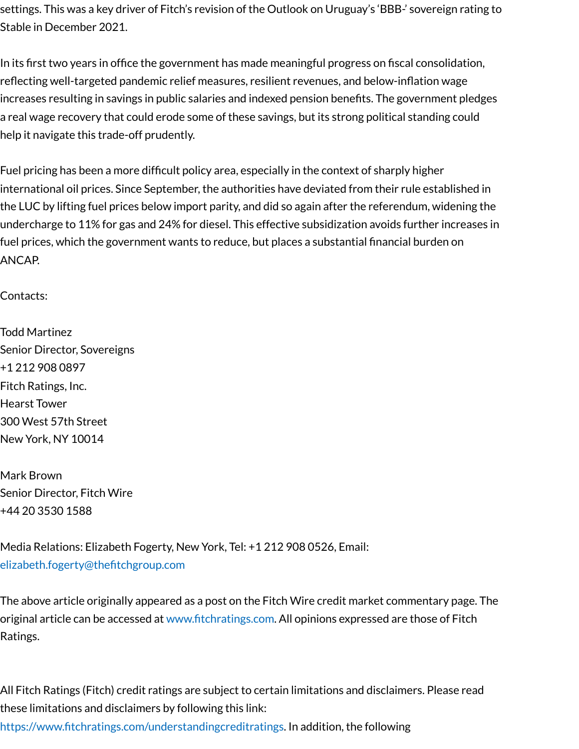settings. This was a key driver of Fitch's revision of the Outlook on Uruguay's 'BBB-' sovereign rating to Stable in December 2021.

In its first two years in office the government has made meaningful progress on fiscal consolidation, reflecting well-targeted pandemic relief measures, resilient revenues, and below-inflation wage increases resulting in savings in public salaries and indexed pension benefits. The government pledges a real wage recovery that could erode some of these savings, but its strong political standing could help it navigate this trade-off prudently.

Fuel pricing has been a more difficult policy area, especially in the context of sharply higher international oil prices. Since September, the authorities have deviated from their rule established in the LUC by lifting fuel prices below import parity, and did so again after the referendum, widening the undercharge to 11% for gas and 24% for diesel. This effective subsidization avoids further increases in fuel prices, which the government wants to reduce, but places a substantial financial burden on ANCAP.

Contacts:

Todd Martinez Senior Director, Sovereigns +1 212 908 0897 Fitch Ratings, Inc. Hearst Tower 300 West 57th Street New York, NY 10014

Mark Brown Senior Director, Fitch Wire +44 20 3530 1588

Media Relations: Elizabeth Fogerty, New York, Tel: +1 212 908 0526, Email: [elizabeth.fogerty@thefitchgroup.com](mailto:elizabeth.fogerty@thefitchgroup.com)

The above article originally appeared as a post on the Fitch Wire credit market commentary page. The original article can be accessed at [www.fitchratings.com](http://www.fitchratings.com/). All opinions expressed are those of Fitch Ratings.

All Fitch Ratings (Fitch) credit ratings are subject to certain limitations and disclaimers. Please read these limitations and disclaimers by following this link:

<https://www.fitchratings.com/understandingcreditratings>. In addition, the following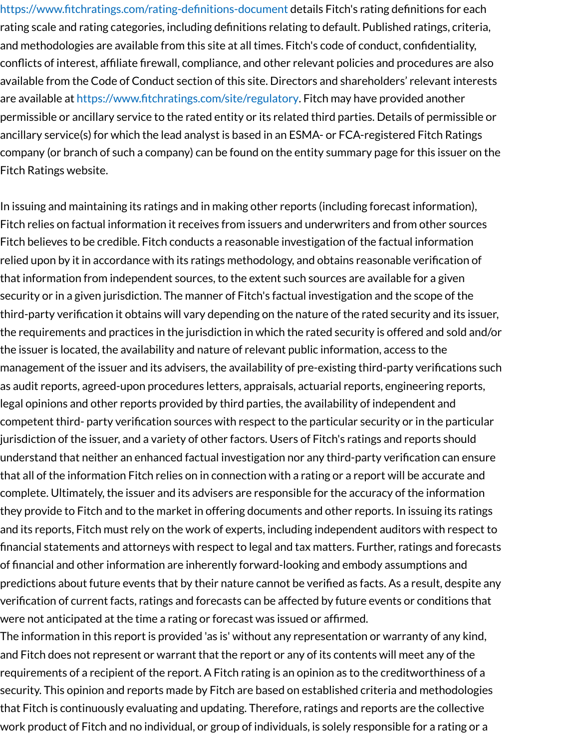<https://www.fitchratings.com/rating-definitions-document> details Fitch's rating definitions for each rating scale and rating categories, including definitions relating to default. Published ratings, criteria, and methodologies are available from this site at all times. Fitch's code of conduct, confidentiality, conflicts of interest, affiliate firewall, compliance, and other relevant policies and procedures are also available from the Code of Conduct section of this site. Directors and shareholders' relevant interests are available at <https://www.fitchratings.com/site/regulatory>. Fitch may have provided another permissible or ancillary service to the rated entity or its related third parties. Details of permissible or ancillary service(s) for which the lead analyst is based in an ESMA- or FCA-registered Fitch Ratings company (or branch of such a company) can be found on the entity summary page for this issuer on the Fitch Ratings website.

In issuing and maintaining its ratings and in making other reports (including forecast information), Fitch relies on factual information it receives from issuers and underwriters and from other sources Fitch believes to be credible. Fitch conducts a reasonable investigation of the factual information relied upon by it in accordance with its ratings methodology, and obtains reasonable verification of that information from independent sources, to the extent such sources are available for a given security or in a given jurisdiction. The manner of Fitch's factual investigation and the scope of the third-party verification it obtains will vary depending on the nature of the rated security and its issuer, the requirements and practices in the jurisdiction in which the rated security is offered and sold and/or the issuer is located, the availability and nature of relevant public information, access to the management of the issuer and its advisers, the availability of pre-existing third-party verifications such as audit reports, agreed-upon procedures letters, appraisals, actuarial reports, engineering reports, legal opinions and other reports provided by third parties, the availability of independent and competent third- party verification sources with respect to the particular security or in the particular jurisdiction of the issuer, and a variety of other factors. Users of Fitch's ratings and reports should understand that neither an enhanced factual investigation nor any third-party verification can ensure that all of the information Fitch relies on in connection with a rating or a report will be accurate and complete. Ultimately, the issuer and its advisers are responsible for the accuracy of the information they provide to Fitch and to the market in offering documents and other reports. In issuing its ratings and its reports, Fitch must rely on the work of experts, including independent auditors with respect to financial statements and attorneys with respect to legal and tax matters. Further, ratings and forecasts of financial and other information are inherently forward-looking and embody assumptions and predictions about future events that by their nature cannot be verified as facts. As a result, despite any verification of current facts, ratings and forecasts can be affected by future events or conditions that were not anticipated at the time a rating or forecast was issued or affirmed.

The information in this report is provided 'as is' without any representation or warranty of any kind, and Fitch does not represent or warrant that the report or any of its contents will meet any of the requirements of a recipient of the report. A Fitch rating is an opinion as to the creditworthiness of a security. This opinion and reports made by Fitch are based on established criteria and methodologies that Fitch is continuously evaluating and updating. Therefore, ratings and reports are the collective work product of Fitch and no individual, or group of individuals, is solely responsible for a rating or a